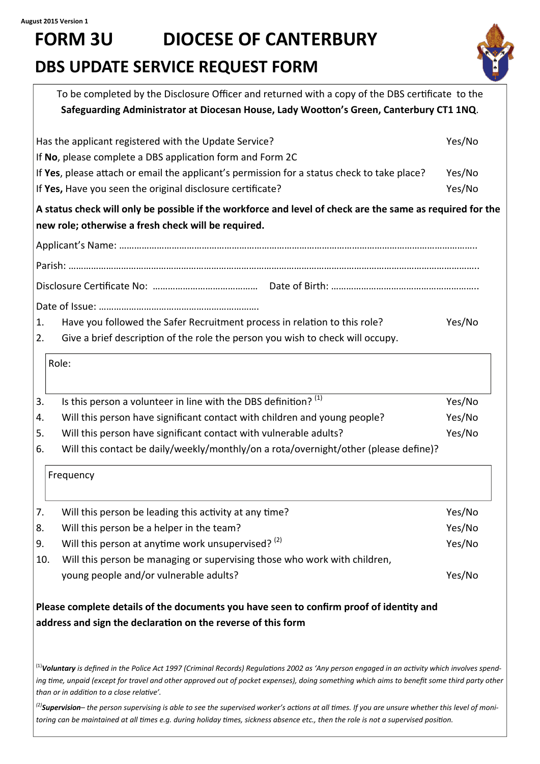# **FORM 3U DIOCESE OF CANTERBURY DBS UPDATE SERVICE REQUEST FORM**



|     | To be completed by the Disclosure Officer and returned with a copy of the DBS certificate to the<br>Safeguarding Administrator at Diocesan House, Lady Wootton's Green, Canterbury CT1 1NQ.                                                                                                                                                       |        |
|-----|---------------------------------------------------------------------------------------------------------------------------------------------------------------------------------------------------------------------------------------------------------------------------------------------------------------------------------------------------|--------|
|     | Has the applicant registered with the Update Service?                                                                                                                                                                                                                                                                                             | Yes/No |
|     | If No, please complete a DBS application form and Form 2C                                                                                                                                                                                                                                                                                         |        |
|     | If Yes, please attach or email the applicant's permission for a status check to take place?                                                                                                                                                                                                                                                       | Yes/No |
|     | If Yes, Have you seen the original disclosure certificate?                                                                                                                                                                                                                                                                                        | Yes/No |
|     | A status check will only be possible if the workforce and level of check are the same as required for the                                                                                                                                                                                                                                         |        |
|     | new role; otherwise a fresh check will be required.                                                                                                                                                                                                                                                                                               |        |
|     |                                                                                                                                                                                                                                                                                                                                                   |        |
|     |                                                                                                                                                                                                                                                                                                                                                   |        |
|     |                                                                                                                                                                                                                                                                                                                                                   |        |
|     |                                                                                                                                                                                                                                                                                                                                                   |        |
| 1.  | Have you followed the Safer Recruitment process in relation to this role?                                                                                                                                                                                                                                                                         | Yes/No |
| 2.  | Give a brief description of the role the person you wish to check will occupy.                                                                                                                                                                                                                                                                    |        |
|     | Role:                                                                                                                                                                                                                                                                                                                                             |        |
| 3.  | Is this person a volunteer in line with the DBS definition? <sup>(1)</sup>                                                                                                                                                                                                                                                                        | Yes/No |
| 4.  | Will this person have significant contact with children and young people?                                                                                                                                                                                                                                                                         | Yes/No |
| 5.  | Will this person have significant contact with vulnerable adults?                                                                                                                                                                                                                                                                                 | Yes/No |
| 6.  | Will this contact be daily/weekly/monthly/on a rota/overnight/other (please define)?                                                                                                                                                                                                                                                              |        |
|     | Frequency                                                                                                                                                                                                                                                                                                                                         |        |
| 7.  | Will this person be leading this activity at any time?                                                                                                                                                                                                                                                                                            | Yes/No |
|     | Will this person be a helper in the team?                                                                                                                                                                                                                                                                                                         | Yes/No |
| 9.  | Will this person at anytime work unsupervised? (2)                                                                                                                                                                                                                                                                                                | Yes/No |
| 10. | Will this person be managing or supervising those who work with children,                                                                                                                                                                                                                                                                         |        |
|     | young people and/or vulnerable adults?                                                                                                                                                                                                                                                                                                            | Yes/No |
|     | Please complete details of the documents you have seen to confirm proof of identity and                                                                                                                                                                                                                                                           |        |
|     | address and sign the declaration on the reverse of this form                                                                                                                                                                                                                                                                                      |        |
|     |                                                                                                                                                                                                                                                                                                                                                   |        |
|     | $^{(1)}$ Voluntary is defined in the Police Act 1997 (Criminal Records) Regulations 2002 as 'Any person engaged in an activity which involves spend-<br>ing time, unpaid (except for travel and other approved out of pocket expenses), doing something which aims to benefit some third party other<br>than or in addition to a close relative'. |        |
|     | <sup>(2)</sup> Supervision- the person supervising is able to see the supervised worker's actions at all times. If you are unsure whether this level of moni-<br>toring can be maintained at all times e.g. during holiday times, sickness absence etc., then the role is not a supervised position.                                              |        |